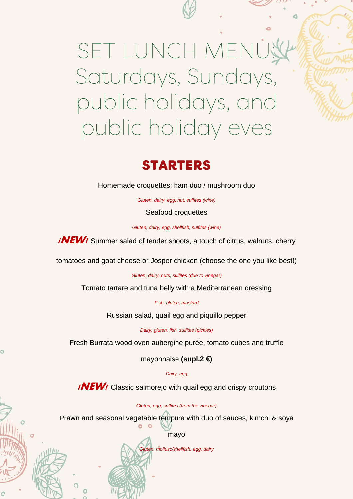# SET LUNCH MENU! Saturdays, Sundays, public holidays, and public holiday eves

## **STARTERS**

Homemade croquettes: ham duo / mushroom duo

*Gluten, dairy, egg, nut, sulfites (wine)*

Seafood croquettes

*Gluten, dairy, egg, shellfish, sulfites (wine)*

**iNEW!** Summer salad of tender shoots, a touch of citrus, walnuts, cherry

tomatoes and goat cheese or Josper chicken (choose the one you like best!)

*Gluten, dairy, nuts, sulfites (due to vinegar)*

Tomato tartare and tuna belly with a Mediterranean dressing

*Fish, gluten, mustard*

Russian salad, quail egg and piquillo pepper

*Dairy, gluten, fish, sulfites (pickles)*

Fresh Burrata wood oven aubergine purée, tomato cubes and truffle

mayonnaise **(supl.2 €)**

*Dairy, egg*

*iNEW!* Classic salmorejo with quail egg and crispy croutons

*Gluten, egg, sulfites (from the vinegar)*

Prawn and seasonal vegetable tempura with duo of sauces, kimchi & soya

mayo

*Gluten, mollusc/shellfish, egg, dairy*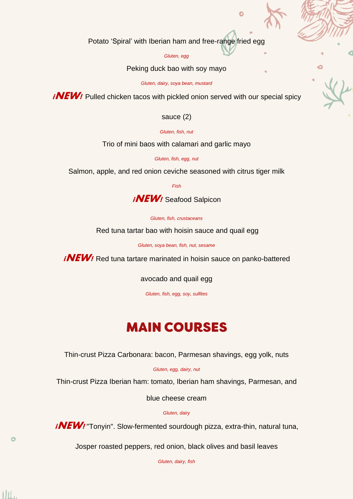Potato 'Spiral' with Iberian ham and free-range fried egg

#### *Gluten, egg*

Peking duck bao with soy mayo

*Gluten, dairy, soya bean, mustard*

**iNEW!** Pulled chicken tacos with pickled onion served with our special spicy

## sauce (2)

*Gluten, fish, nut*

Trio of mini baos with calamari and garlic mayo

*Gluten, fish, egg, nut*

Salmon, apple, and red onion ceviche seasoned with citrus tiger milk

*Fish*

**¡NEW!** Seafood Salpicon

*Gluten, fish, crustaceans*

Red tuna tartar bao with hoisin sauce and quail egg

*Gluten, soya bean, fish, nut, sesame*

*iNEW!* Red tuna tartare marinated in hoisin sauce on panko-battered

avocado and quail egg

*Gluten, fish, egg, soy, sulfites*

# **MAIN COURSES**

Thin-crust Pizza Carbonara: bacon, Parmesan shavings, egg yolk, nuts

*Gluten, egg, dairy, nut*

Thin-crust Pizza Iberian ham: tomato, Iberian ham shavings, Parmesan, and

blue cheese cream

*Gluten, dairy*

*iNEW!* "Tonyin". Slow-fermented sourdough pizza, extra-thin, natural tuna,

Josper roasted peppers, red onion, black olives and basil leaves

*Gluten, dairy, fish*

 $III.$ 

 $\circ$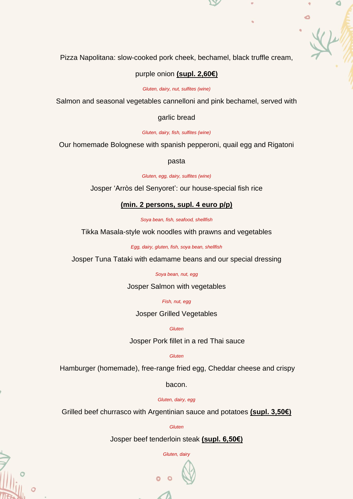Pizza Napolitana: slow-cooked pork cheek, bechamel, black truffle cream,

### purple onion **(supl. 2,60€)**

#### *Gluten, dairy, nut, sulfites (wine)*

Salmon and seasonal vegetables cannelloni and pink bechamel, served with

#### garlic bread

*Gluten, dairy, fish, sulfites (wine)*

Our homemade Bolognese with spanish pepperoni, quail egg and Rigatoni

pasta

*Gluten, egg, dairy, sulfites (wine)*

Josper 'Arròs del Senyoret': our house-special fish rice

## **(min. 2 persons, supl. 4 euro p/p)**

*Soya bean, fish, seafood, shellfish*

Tikka Masala-style wok noodles with prawns and vegetables

*Egg, dairy, gluten, fish, soya bean, shellfish*

Josper Tuna Tataki with edamame beans and our special dressing

*Soya bean, nut, egg*

Josper Salmon with vegetables

*Fish, nut, egg*

Josper Grilled Vegetables

*Gluten*

Josper Pork fillet in a red Thai sauce

*Gluten*

Hamburger (homemade), free-range fried egg, Cheddar cheese and crispy

bacon.

*Gluten, dairy, egg*

Grilled beef churrasco with Argentinian sauce and potatoes **(supl. 3,50€)**

*Gluten*

Josper beef tenderloin steak **(supl. 6,50€)**

*Gluten, dairy*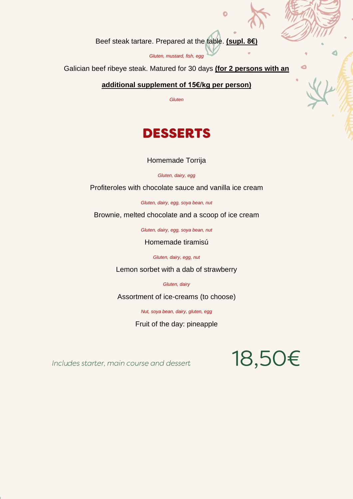Beef steak tartare. Prepared at the table. **(supl. 8€)**

*Gluten, mustard, fish, egg*

Galician beef ribeye steak. Matured for 30 days **(for 2 persons with an**

## **additional supplement of 15€/kg per person)**

*Gluten*

# **DESSERTS**

Homemade Torrija

*Gluten, dairy, egg*

Profiteroles with chocolate sauce and vanilla ice cream

*Gluten, dairy, egg, soya bean, nut*

Brownie, melted chocolate and a scoop of ice cream

*Gluten, dairy, egg, soya bean, nut*

Homemade tiramisú

*Gluten, dairy, egg, nut*

Lemon sorbet with a dab of strawberry

*Gluten, dairy*

Assortment of ice-creams (to choose)

*Nut, soya bean, dairy, gluten, egg*

Fruit of the day: pineapple

Includes starter, main course and dessert

# 18,50€